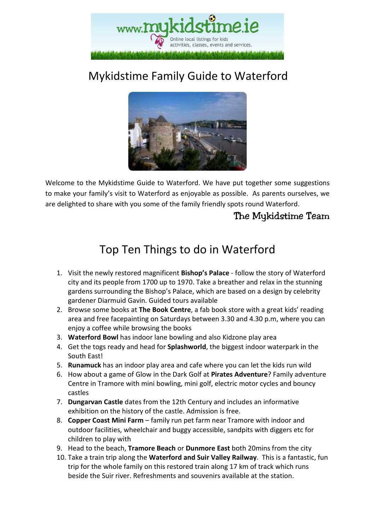

## Mykidstime Family Guide to Waterford



Welcome to the Mykidstime Guide to Waterford. We have put together some suggestions to make your family's visit to Waterford as enjoyable as possible. As parents ourselves, we are delighted to share with you some of the family friendly spots round Waterford.

### The Mykidstime Team

### Top Ten Things to do in Waterford

- 1. Visit the newly restored magnificent **Bishop's Palace** follow the story of Waterford city and its people from 1700 up to 1970. Take a breather and relax in the stunning gardens surrounding the Bishop's Palace, which are based on a design by celebrity gardener Diarmuid Gavin. Guided tours available
- 2. Browse some books at **The Book Centre**, a fab book store with a great kids' reading area and free facepainting on Saturdays between 3.30 and 4.30 p.m, where you can enjoy a coffee while browsing the books
- 3. **Waterford Bowl** has indoor lane bowling and also Kidzone play area
- 4. Get the togs ready and head for **Splashworld**, the biggest indoor waterpark in the South East!
- 5. **Runamuck** has an indoor play area and cafe where you can let the kids run wild
- 6. How about a game of Glow in the Dark Golf at **Pirates Adventure**? Family adventure Centre in Tramore with mini bowling, mini golf, electric motor cycles and bouncy castles
- 7. **Dungarvan Castle** dates from the 12th Century and includes an informative exhibition on the history of the castle. Admission is free.
- 8. **Copper Coast Mini Farm**  family run pet farm near Tramore with indoor and outdoor facilities, wheelchair and buggy accessible, sandpits with diggers etc for children to play with
- 9. Head to the beach, **Tramore Beach** or **Dunmore East** both 20mins from the city
- 10. Take a train trip along the **Waterford and Suir Valley Railway**. This is a fantastic, fun trip for the whole family on this restored train along 17 km of track which runs beside the Suir river. Refreshments and souvenirs available at the station.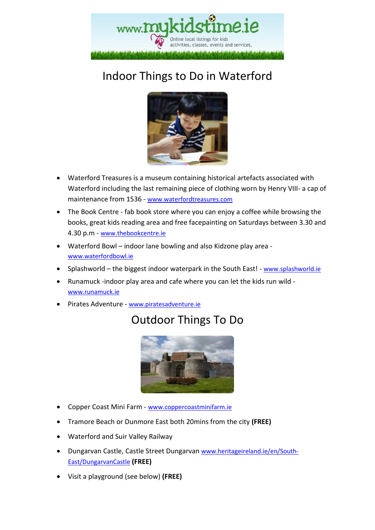

## Indoor Things to Do in Waterford



- Waterford Treasures is a museum containing historical artefacts associated with Waterford including the last remaining piece of clothing worn by Henry VIII- a cap of maintenance from 1536 - www.waterfordtreasures.com
- The Book Centre fab book store where you can enjoy a coffee while browsing the books, great kids reading area and free facepainting on Saturdays between 3.30 and 4.30 p.m - www.thebookcentre.ie
- Waterford Bowl indoor lane bowling and also Kidzone play area www.waterfordbowl.ie
- Splashworld the biggest indoor waterpark in the South East! www.splashworld.ie
- Runamuck -indoor play area and cafe where you can let the kids run wild www.runamuck.ie
- Pirates Adventure www.piratesadventure.ie

### Outdoor Things To Do



- Copper Coast Mini Farm www.coppercoastminifarm.ie
- Tramore Beach or Dunmore East both 20mins from the city **(FREE)**
- Waterford and Suir Valley Railway
- Dungarvan Castle, Castle Street Dungarvan www.heritageireland.ie/en/South-East/DungarvanCastle **(FREE)**
- Visit a playground (see below) **(FREE)**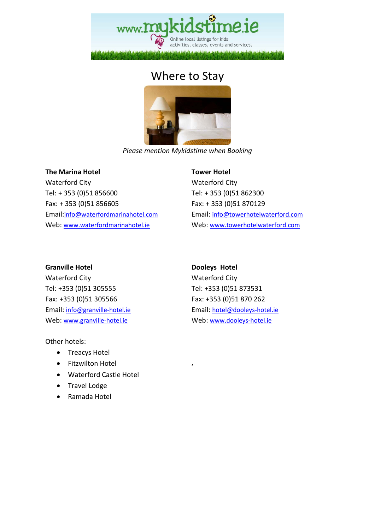

### Where to Stay



*Please mention Mykidstime when Booking* 

#### **The Marina Hotel**

Waterford City Tel: + 353 (0)51 856600 Fax: + 353 (0)51 856605 Email:info@waterfordmarinahotel.com Web: www.waterfordmarinahotel.ie

#### **Tower Hotel**

Waterford City Tel: + 353 (0)51 862300 Fax: + 353 (0)51 870129 Email: info@towerhotelwaterford.com Web: www.towerhotelwaterford.com

#### **Granville Hotel**

Waterford City Tel: +353 (0)51 305555 Fax: +353 (0)51 305566 Email: info@granville-hotel.ie Web: www.granville-hotel.ie

Other hotels:

- Treacys Hotel
- Fitzwilton Hotel
- Waterford Castle Hotel
- Travel Lodge
- Ramada Hotel

#### **Dooleys Hotel**

,

Waterford City Tel: +353 (0)51 873531 Fax: +353 (0)51 870 262 Email: hotel@dooleys-hotel.ie Web: www.dooleys-hotel.ie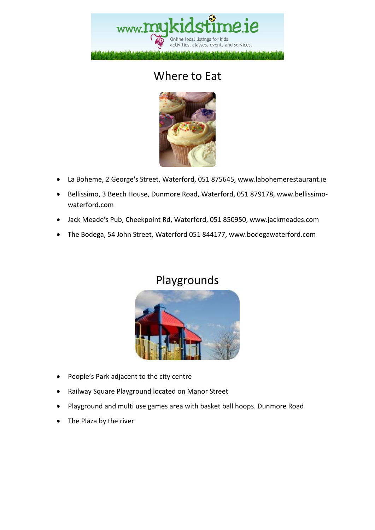

### Where to Eat



- La Boheme, 2 George's Street, Waterford, 051 875645, www.labohemerestaurant.ie
- Bellissimo, 3 Beech House, Dunmore Road, Waterford, 051 879178, www.bellissimowaterford.com
- Jack Meade's Pub, Cheekpoint Rd, Waterford, 051 850950, www.jackmeades.com
- The Bodega, 54 John Street, Waterford 051 844177, www.bodegawaterford.com

### Playgrounds



- People's Park adjacent to the city centre
- Railway Square Playground located on Manor Street
- Playground and multi use games area with basket ball hoops. Dunmore Road
- The Plaza by the river